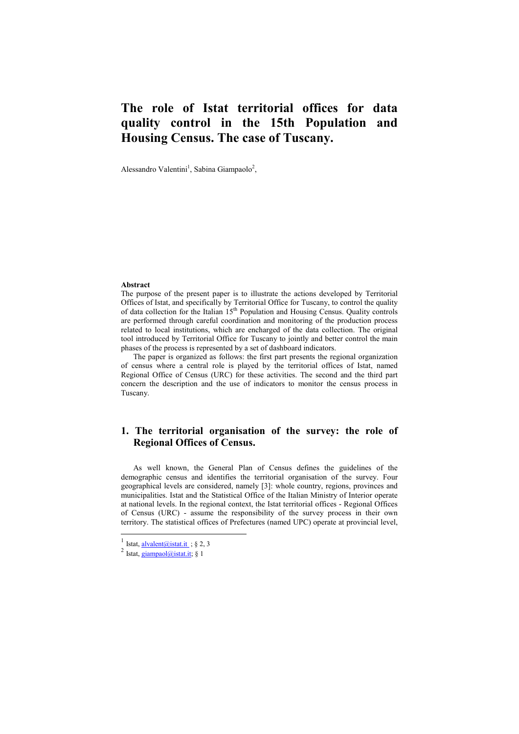# **The role of Istat territorial offices for data quality control in the 15th Population and Housing Census. The case of Tuscany.**

Alessandro Valentini<sup>1</sup>, Sabina Giampaolo<sup>2</sup>,

#### **Abstract**

The purpose of the present paper is to illustrate the actions developed by Territorial Offices of Istat, and specifically by Territorial Office for Tuscany, to control the quality of data collection for the Italian 15th Population and Housing Census. Quality controls are performed through careful coordination and monitoring of the production process related to local institutions, which are encharged of the data collection. The original tool introduced by Territorial Office for Tuscany to jointly and better control the main phases of the process is represented by a set of dashboard indicators.

The paper is organized as follows: the first part presents the regional organization of census where a central role is played by the territorial offices of Istat, named Regional Office of Census (URC) for these activities. The second and the third part concern the description and the use of indicators to monitor the census process in Tuscany.

## **1. The territorial organisation of the survey: the role of Regional Offices of Census.**

As well known, the General Plan of Census defines the guidelines of the demographic census and identifies the territorial organisation of the survey. Four geographical levels are considered, namely [3]: whole country, regions, provinces and municipalities. Istat and the Statistical Office of the Italian Ministry of Interior operate at national levels. In the regional context, the Istat territorial offices - Regional Offices of Census (URC) - assume the responsibility of the survey process in their own territory. The statistical offices of Prefectures (named UPC) operate at provincial level,

<sup>&</sup>lt;sup>1</sup> Istat, <u>alvalent@istat.it</u> ; § 2, 3

 $2$  Istat, giampaol@istat.it; § 1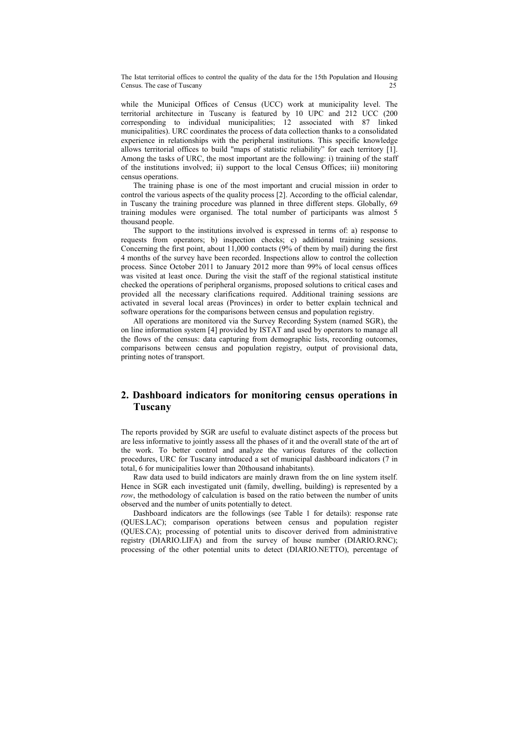The Istat territorial offices to control the quality of the data for the 15th Population and Housing Census. The case of Tuscany

while the Municipal Offices of Census (UCC) work at municipality level. The territorial architecture in Tuscany is featured by 10 UPC and 212 UCC (200 corresponding to individual municipalities; 12 associated with 87 linked municipalities). URC coordinates the process of data collection thanks to a consolidated experience in relationships with the peripheral institutions. This specific knowledge allows territorial offices to build "maps of statistic reliability" for each territory [1]. Among the tasks of URC, the most important are the following: i) training of the staff of the institutions involved; ii) support to the local Census Offices; iii) monitoring census operations.

The training phase is one of the most important and crucial mission in order to control the various aspects of the quality process [2]. According to the official calendar, in Tuscany the training procedure was planned in three different steps. Globally, 69 training modules were organised. The total number of participants was almost 5 thousand people.

The support to the institutions involved is expressed in terms of: a) response to requests from operators; b) inspection checks; c) additional training sessions. Concerning the first point, about 11,000 contacts (9% of them by mail) during the first 4 months of the survey have been recorded. Inspections allow to control the collection process. Since October 2011 to January 2012 more than 99% of local census offices was visited at least once. During the visit the staff of the regional statistical institute checked the operations of peripheral organisms, proposed solutions to critical cases and provided all the necessary clarifications required. Additional training sessions are activated in several local areas (Provinces) in order to better explain technical and software operations for the comparisons between census and population registry.

All operations are monitored via the Survey Recording System (named SGR), the on line information system [4] provided by ISTAT and used by operators to manage all the flows of the census: data capturing from demographic lists, recording outcomes, comparisons between census and population registry, output of provisional data, printing notes of transport.

### **2. Dashboard indicators for monitoring census operations in Tuscany**

The reports provided by SGR are useful to evaluate distinct aspects of the process but are less informative to jointly assess all the phases of it and the overall state of the art of the work. To better control and analyze the various features of the collection procedures, URC for Tuscany introduced a set of municipal dashboard indicators (7 in total, 6 for municipalities lower than 20thousand inhabitants).

Raw data used to build indicators are mainly drawn from the on line system itself. Hence in SGR each investigated unit (family, dwelling, building) is represented by a *row*, the methodology of calculation is based on the ratio between the number of units observed and the number of units potentially to detect.

Dashboard indicators are the followings (see Table 1 for details): response rate (QUES.LAC); comparison operations between census and population register (QUES.CA); processing of potential units to discover derived from administrative registry (DIARIO.LIFA) and from the survey of house number (DIARIO.RNC); processing of the other potential units to detect (DIARIO.NETTO), percentage of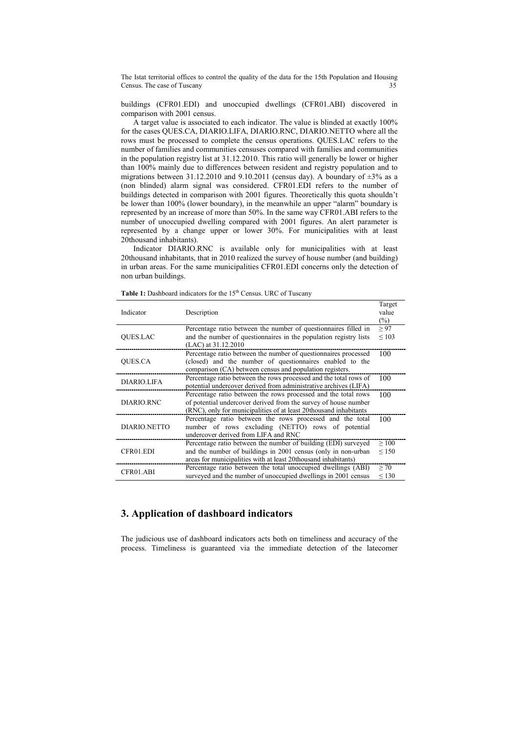The Istat territorial offices to control the quality of the data for the 15th Population and Housing Census. The case of Tuscany

buildings (CFR01.EDI) and unoccupied dwellings (CFR01.ABI) discovered in comparison with 2001 census.

A target value is associated to each indicator. The value is blinded at exactly 100% for the cases QUES.CA, DIARIO.LIFA, DIARIO.RNC, DIARIO.NETTO where all the rows must be processed to complete the census operations. QUES.LAC refers to the number of families and communities censuses compared with families and communities in the population registry list at 31.12.2010. This ratio will generally be lower or higher than 100% mainly due to differences between resident and registry population and to migrations between 31.12.2010 and 9.10.2011 (census day). A boundary of  $\pm 3\%$  as a (non blinded) alarm signal was considered. CFR01.EDI refers to the number of buildings detected in comparison with 2001 figures. Theoretically this quota shouldn't be lower than 100% (lower boundary), in the meanwhile an upper "alarm" boundary is represented by an increase of more than 50%. In the same way CFR01.ABI refers to the number of unoccupied dwelling compared with 2001 figures. An alert parameter is represented by a change upper or lower 30%. For municipalities with at least 20thousand inhabitants).

Indicator DIARIO.RNC is available only for municipalities with at least 20thousand inhabitants, that in 2010 realized the survey of house number (and building) in urban areas. For the same municipalities CFR01.EDI concerns only the detection of non urban buildings.

| Indicator          | Description                                                                                                                                                                                            | Target<br>value<br>$(\%)$ |
|--------------------|--------------------------------------------------------------------------------------------------------------------------------------------------------------------------------------------------------|---------------------------|
| <b>OUES.LAC</b>    | Percentage ratio between the number of questionnaires filled in<br>and the number of questionnaires in the population registry lists<br>(LAC) at 31.12.2010                                            | > 97<br>${}_{\leq 103}$   |
| QUES.CA            | Percentage ratio between the number of questionnaires processed<br>(closed) and the number of questionnaires enabled to the<br>comparison (CA) between census and population registers.                | 100                       |
| <b>DIARIO.LIFA</b> | Percentage ratio between the rows processed and the total rows of<br>potential undercover derived from administrative archives (LIFA)                                                                  | 100                       |
| DIARIO.RNC         | Percentage ratio between the rows processed and the total rows<br>of potential undercover derived from the survey of house number<br>(RNC), only for municipalities of at least 20thousand inhabitants | 100                       |
| DIARIO.NETTO       | Percentage ratio between the rows processed and the total<br>number of rows excluding (NETTO) rows of potential<br>undercover derived from LIFA and RNC                                                | 100                       |
| CFR01.EDI          | Percentage ratio between the number of building (EDI) surveyed<br>and the number of buildings in 2001 census (only in non-urban<br>areas for municipalities with at least 20thousand inhabitants)      | >100<br>$\leq 150$        |
| CFR01.ABI          | Percentage ratio between the total unoccupied dwellings (ABI)<br>surveyed and the number of unoccupied dwellings in 2001 census                                                                        | > 70<br>$\leq 130$        |

Table 1: Dashboard indicators for the 15<sup>th</sup> Census. URC of Tuscany

### **3. Application of dashboard indicators**

The judicious use of dashboard indicators acts both on timeliness and accuracy of the process. Timeliness is guaranteed via the immediate detection of the latecomer